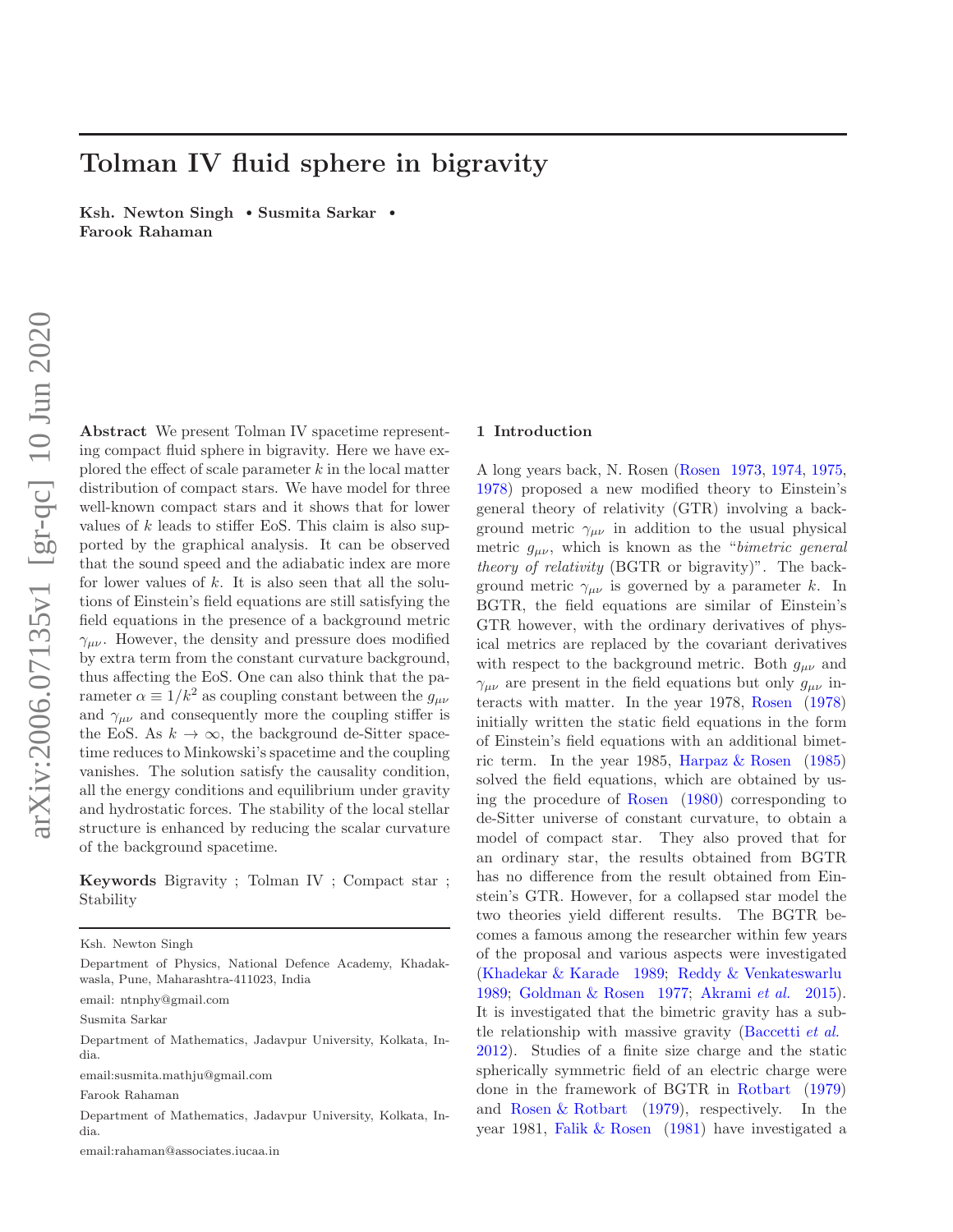# Tolman IV fluid sphere in bigravity

Ksh. Newton Singh • Susmita Sarkar • Farook Rahaman

Abstract We present Tolman IV spacetime representing compact fluid sphere in bigravity. Here we have explored the effect of scale parameter  $k$  in the local matter distribution of compact stars. We have model for three well-known compact stars and it shows that for lower values of  $k$  leads to stiffer EoS. This claim is also supported by the graphical analysis. It can be observed that the sound speed and the adiabatic index are more for lower values of  $k$ . It is also seen that all the solutions of Einstein's field equations are still satisfying the field equations in the presence of a background metric  $\gamma_{\mu\nu}$ . However, the density and pressure does modified by extra term from the constant curvature background, thus affecting the EoS. One can also think that the parameter  $\alpha \equiv 1/k^2$  as coupling constant between the  $g_{\mu\nu}$ and  $\gamma_{\mu\nu}$  and consequently more the coupling stiffer is the EoS. As  $k \to \infty$ , the background de-Sitter spacetime reduces to Minkowski's spacetime and the coupling vanishes. The solution satisfy the causality condition, all the energy conditions and equilibrium under gravity and hydrostatic forces. The stability of the local stellar structure is enhanced by reducing the scalar curvature of the background spacetime.

Keywords Bigravity ; Tolman IV ; Compact star ; Stability

email: ntnphy@gmail.com

Susmita Sarkar

email:susmita.mathju@gmail.com

Farook Rahaman

Department of Mathematics, Jadavpur University, Kolkata, India.

email:rahaman@associates.iucaa.in

# 1 Introduction

A long years back, N. Rosen (Rosen 1973, 1974, 1975, 1978) proposed a new modified theory to Einstein's general theory of relativity (GTR) involving a background metric  $\gamma_{\mu\nu}$  in addition to the usual physical metric  $g_{\mu\nu}$ , which is known as the "*bimetric general* theory of relativity (BGTR or bigravity)". The background metric  $\gamma_{\mu\nu}$  is governed by a parameter k. In BGTR, the field equations are similar of Einstein's GTR however, with the ordinary derivatives of physical metrics are replaced by the covariant derivatives with respect to the background metric. Both  $g_{\mu\nu}$  and  $\gamma_{\mu\nu}$  are present in the field equations but only  $g_{\mu\nu}$  interacts with matter. In the year 1978, Rosen (1978) initially written the static field equations in the form of Einstein's field equations with an additional bimetric term. In the year 1985, Harpaz  $\&$  Rosen (1985) solved the field equations, which are obtained by using the procedure of Rosen (1980) corresponding to de-Sitter universe of constant curvature, to obtain a model of compact star. They also proved that for an ordinary star, the results obtained from BGTR has no difference from the result obtained from Einstein's GTR. However, for a collapsed star model the two theories yield different results. The BGTR becomes a famous among the researcher within few years of the proposal and various aspects were investigated (Khadekar & Karade 1989; Reddy & Venkateswarlu 1989; Goldman & Rosen 1977; Akrami et al. 2015). It is investigated that the bimetric gravity has a subtle relationship with massive gravity (Baccetti et al. 2012). Studies of a finite size charge and the static spherically symmetric field of an electric charge were done in the framework of BGTR in Rotbart (1979) and Rosen & Rotbart (1979), respectively. In the year 1981, Falik & Rosen (1981) have investigated a

Ksh. Newton Singh

Department of Physics, National Defence Academy, Khadakwasla, Pune, Maharashtra-411023, India

Department of Mathematics, Jadavpur University, Kolkata, India.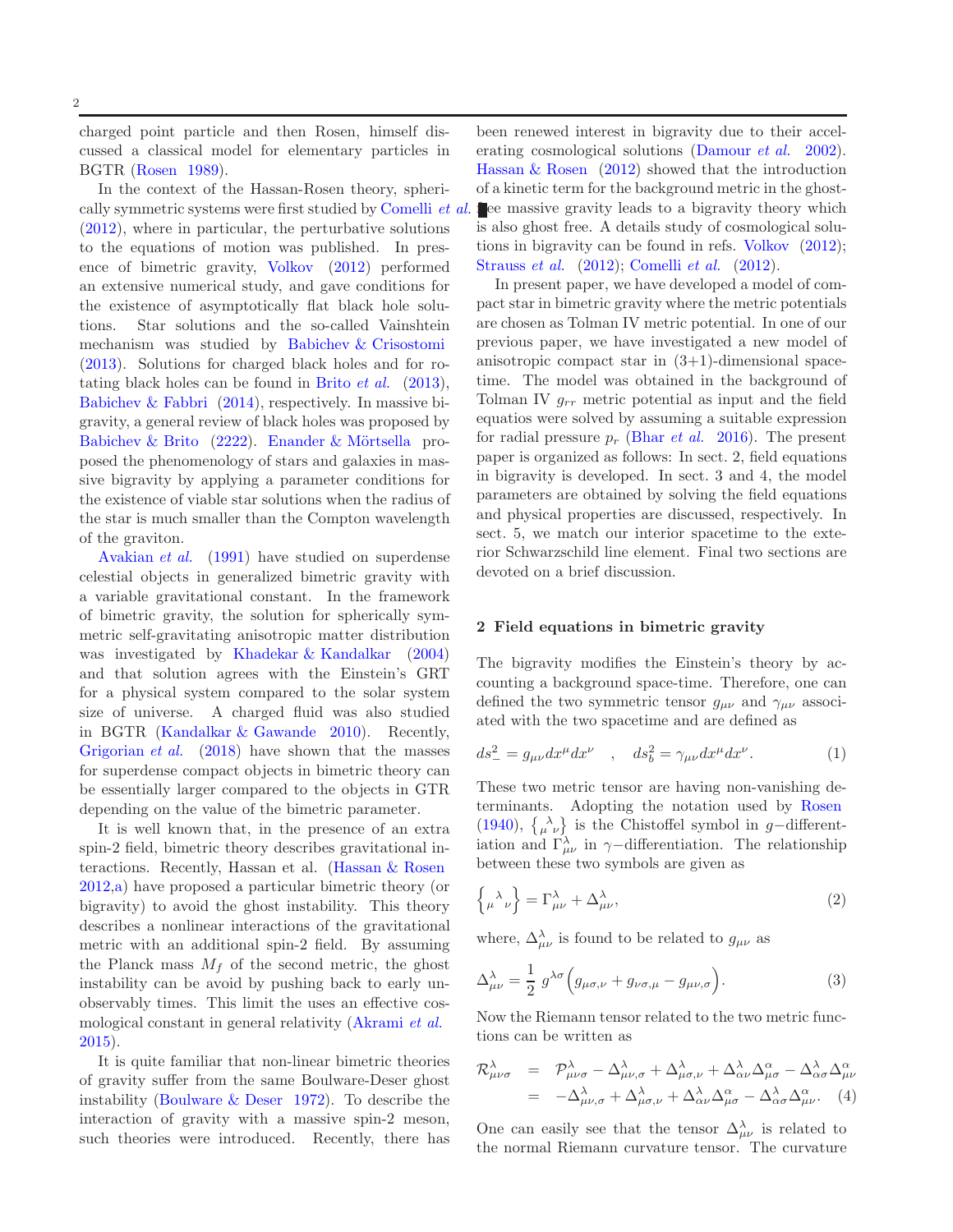charged point particle and then Rosen, himself discussed a classical model for elementary particles in BGTR (Rosen 1989).

In the context of the Hassan-Rosen theory, spherically symmetric systems were first studied by Comelli *et al.* (2012), where in particular, the perturbative solutions to the equations of motion was published. In presence of bimetric gravity, Volkov (2012) performed an extensive numerical study, and gave conditions for the existence of asymptotically flat black hole solutions. Star solutions and the so-called Vainshtein mechanism was studied by Babichev & Crisostomi (2013). Solutions for charged black holes and for rotating black holes can be found in Brito  $et \ al.$  (2013), Babichev & Fabbri (2014), respectively. In massive bigravity, a general review of black holes was proposed by Babichev & Brito  $(2222)$ . Enander & Mörtsella proposed the phenomenology of stars and galaxies in massive bigravity by applying a parameter conditions for the existence of viable star solutions when the radius of the star is much smaller than the Compton wavelength of the graviton.

Avakian et al. (1991) have studied on superdense celestial objects in generalized bimetric gravity with a variable gravitational constant. In the framework of bimetric gravity, the solution for spherically symmetric self-gravitating anisotropic matter distribution was investigated by Khadekar & Kandalkar (2004) and that solution agrees with the Einstein's GRT for a physical system compared to the solar system size of universe. A charged fluid was also studied in BGTR (Kandalkar & Gawande 2010). Recently, Grigorian *et al.* (2018) have shown that the masses for superdense compact objects in bimetric theory can be essentially larger compared to the objects in GTR depending on the value of the bimetric parameter.

It is well known that, in the presence of an extra spin-2 field, bimetric theory describes gravitational interactions. Recently, Hassan et al. (Hassan & Rosen 2012,a) have proposed a particular bimetric theory (or bigravity) to avoid the ghost instability. This theory describes a nonlinear interactions of the gravitational metric with an additional spin-2 field. By assuming the Planck mass  $M_f$  of the second metric, the ghost instability can be avoid by pushing back to early unobservably times. This limit the uses an effective cosmological constant in general relativity (Akrami et al. 2015).

It is quite familiar that non-linear bimetric theories of gravity suffer from the same Boulware-Deser ghost instability (Boulware & Deser 1972). To describe the interaction of gravity with a massive spin-2 meson, such theories were introduced. Recently, there has

been renewed interest in bigravity due to their accelerating cosmological solutions (Damour *et al.* 2002). Hassan & Rosen (2012) showed that the introduction of a kinetic term for the background metric in the ghost- $\mathbf{f}$ ee massive gravity leads to a bigravity theory which is also ghost free. A details study of cosmological solutions in bigravity can be found in refs. Volkov (2012); Strauss et al. (2012); Comelli et al. (2012).

In present paper, we have developed a model of compact star in bimetric gravity where the metric potentials are chosen as Tolman IV metric potential. In one of our previous paper, we have investigated a new model of anisotropic compact star in (3+1)-dimensional spacetime. The model was obtained in the background of Tolman IV  $g_{rr}$  metric potential as input and the field equatios were solved by assuming a suitable expression for radial pressure  $p_r$  (Bhar *et al.* 2016). The present paper is organized as follows: In sect. 2, field equations in bigravity is developed. In sect. 3 and 4, the model parameters are obtained by solving the field equations and physical properties are discussed, respectively. In sect. 5, we match our interior spacetime to the exterior Schwarzschild line element. Final two sections are devoted on a brief discussion.

#### 2 Field equations in bimetric gravity

The bigravity modifies the Einstein's theory by accounting a background space-time. Therefore, one can defined the two symmetric tensor  $g_{\mu\nu}$  and  $\gamma_{\mu\nu}$  associated with the two spacetime and are defined as

$$
ds_{-}^{2} = g_{\mu\nu}dx^{\mu}dx^{\nu} , \quad ds_{b}^{2} = \gamma_{\mu\nu}dx^{\mu}dx^{\nu}.
$$
 (1)

These two metric tensor are having non-vanishing determinants. Adopting the notation used by Rosen (1940),  $\begin{Bmatrix} \lambda \\ \mu \nu \end{Bmatrix}$  is the Chistoffel symbol in g-differentiation and  $\Gamma^{\lambda}_{\mu\nu}$  in  $\gamma$ -differentiation. The relationship between these two symbols are given as

$$
\left\{ \begin{matrix} \lambda \\ \mu \end{matrix} \right\} = \Gamma_{\mu\nu}^{\lambda} + \Delta_{\mu\nu}^{\lambda},\tag{2}
$$

where,  $\Delta_{\mu\nu}^{\lambda}$  is found to be related to  $g_{\mu\nu}$  as

$$
\Delta^{\lambda}_{\mu\nu} = \frac{1}{2} g^{\lambda\sigma} \Big( g_{\mu\sigma,\nu} + g_{\nu\sigma,\mu} - g_{\mu\nu,\sigma} \Big). \tag{3}
$$

Now the Riemann tensor related to the two metric functions can be written as

$$
\mathcal{R}^{\lambda}_{\mu\nu\sigma} = \mathcal{P}^{\lambda}_{\mu\nu\sigma} - \Delta^{\lambda}_{\mu\nu,\sigma} + \Delta^{\lambda}_{\mu\sigma,\nu} + \Delta^{\lambda}_{\alpha\nu}\Delta^{\alpha}_{\mu\sigma} - \Delta^{\lambda}_{\alpha\sigma}\Delta^{\alpha}_{\mu\nu} \n= -\Delta^{\lambda}_{\mu\nu,\sigma} + \Delta^{\lambda}_{\mu\sigma,\nu} + \Delta^{\lambda}_{\alpha\nu}\Delta^{\alpha}_{\mu\sigma} - \Delta^{\lambda}_{\alpha\sigma}\Delta^{\alpha}_{\mu\nu}.
$$
 (4)

One can easily see that the tensor  $\Delta_{\mu\nu}^{\lambda}$  is related to the normal Riemann curvature tensor. The curvature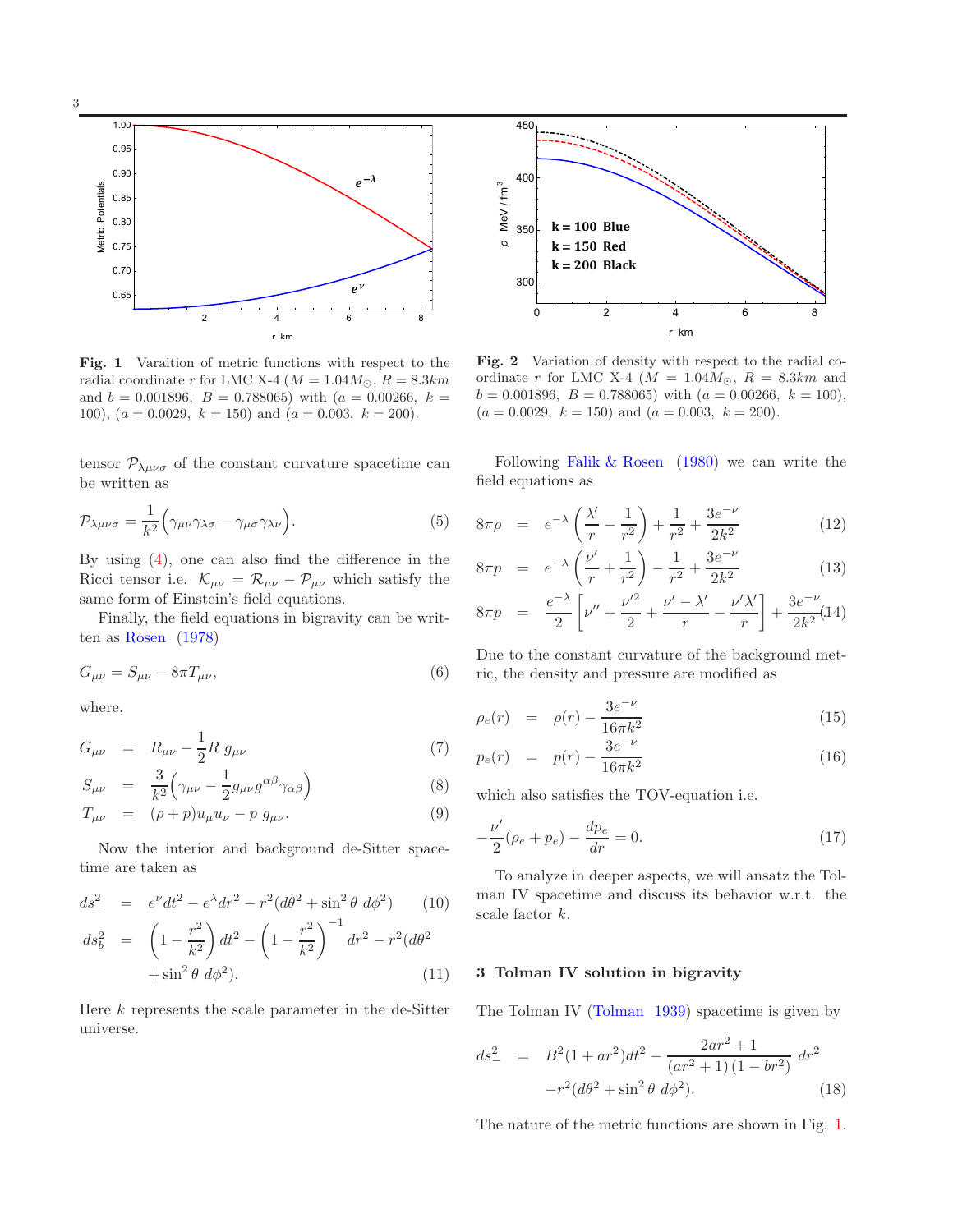

Fig. 1 Varaition of metric functions with respect to the radial coordinate r for LMC X-4 ( $M = 1.04M_{\odot}$ ,  $R = 8.3km$ and  $b = 0.001896$ ,  $B = 0.788065$ ) with  $(a = 0.00266, k =$ 100),  $(a = 0.0029, k = 150)$  and  $(a = 0.003, k = 200)$ .

tensor  $\mathcal{P}_{\lambda\mu\nu\sigma}$  of the constant curvature spacetime can be written as

$$
\mathcal{P}_{\lambda\mu\nu\sigma} = \frac{1}{k^2} \Big( \gamma_{\mu\nu} \gamma_{\lambda\sigma} - \gamma_{\mu\sigma} \gamma_{\lambda\nu} \Big). \tag{5}
$$

By using  $(4)$ , one can also find the difference in the Ricci tensor i.e.  $\mathcal{K}_{\mu\nu} = \mathcal{R}_{\mu\nu} - \mathcal{P}_{\mu\nu}$  which satisfy the same form of Einstein's field equations.

Finally, the field equations in bigravity can be written as Rosen (1978)

$$
G_{\mu\nu} = S_{\mu\nu} - 8\pi T_{\mu\nu},\tag{6}
$$

where,

$$
G_{\mu\nu} = R_{\mu\nu} - \frac{1}{2} R g_{\mu\nu} \tag{7}
$$

$$
S_{\mu\nu} = \frac{3}{k^2} \left( \gamma_{\mu\nu} - \frac{1}{2} g_{\mu\nu} g^{\alpha\beta} \gamma_{\alpha\beta} \right) \tag{8}
$$

$$
T_{\mu\nu} = (\rho + p)u_{\mu}u_{\nu} - p g_{\mu\nu}.
$$
\n(9)

Now the interior and background de-Sitter spacetime are taken as

$$
ds_{-}^{2} = e^{\nu}dt^{2} - e^{\lambda}dr^{2} - r^{2}(d\theta^{2} + \sin^{2}\theta \, d\phi^{2}) \qquad (10)
$$

$$
ds_b^2 = \left(1 - \frac{r^2}{k^2}\right)dt^2 - \left(1 - \frac{r^2}{k^2}\right)^{-1}dr^2 - r^2(d\theta^2 + \sin^2\theta \ d\phi^2).
$$
 (11)

Here  $k$  represents the scale parameter in the de-Sitter universe.



Fig. 2 Variation of density with respect to the radial coordinate r for LMC X-4 ( $M = 1.04M_{\odot}$ ,  $R = 8.3km$  and  $b = 0.001896, B = 0.788065$  with  $(a = 0.00266, k = 100)$ ,  $(a = 0.0029, k = 150)$  and  $(a = 0.003, k = 200)$ .

Following Falik & Rosen (1980) we can write the field equations as

$$
8\pi\rho = e^{-\lambda}\left(\frac{\lambda'}{r} - \frac{1}{r^2}\right) + \frac{1}{r^2} + \frac{3e^{-\nu}}{2k^2}
$$
 (12)

$$
8\pi p = e^{-\lambda} \left( \frac{\nu'}{r} + \frac{1}{r^2} \right) - \frac{1}{r^2} + \frac{3e^{-\nu}}{2k^2}
$$
 (13)

$$
8\pi p = \frac{e^{-\lambda}}{2} \left[ \nu'' + \frac{\nu'^2}{2} + \frac{\nu' - \lambda'}{r} - \frac{\nu'\lambda'}{r} \right] + \frac{3e^{-\nu}}{2k^2} (14)
$$

Due to the constant curvature of the background metric, the density and pressure are modified as

$$
\rho_e(r) = \rho(r) - \frac{3e^{-\nu}}{16\pi k^2} \tag{15}
$$

$$
p_e(r) = p(r) - \frac{3e^{-\nu}}{16\pi k^2}
$$
 (16)

which also satisfies the TOV-equation i.e.

$$
-\frac{\nu'}{2}(\rho_e + p_e) - \frac{dp_e}{dr} = 0.
$$
 (17)

To analyze in deeper aspects, we will ansatz the Tolman IV spacetime and discuss its behavior w.r.t. the scale factor k.

## 3 Tolman IV solution in bigravity

The Tolman IV (Tolman 1939) spacetime is given by

$$
ds_{-}^{2} = B^{2}(1 + ar^{2})dt^{2} - \frac{2ar^{2} + 1}{(ar^{2} + 1)(1 - br^{2})}dr^{2}
$$

$$
-r^{2}(d\theta^{2} + \sin^{2}\theta \ d\phi^{2}).
$$
 (18)

The nature of the metric functions are shown in Fig. 1.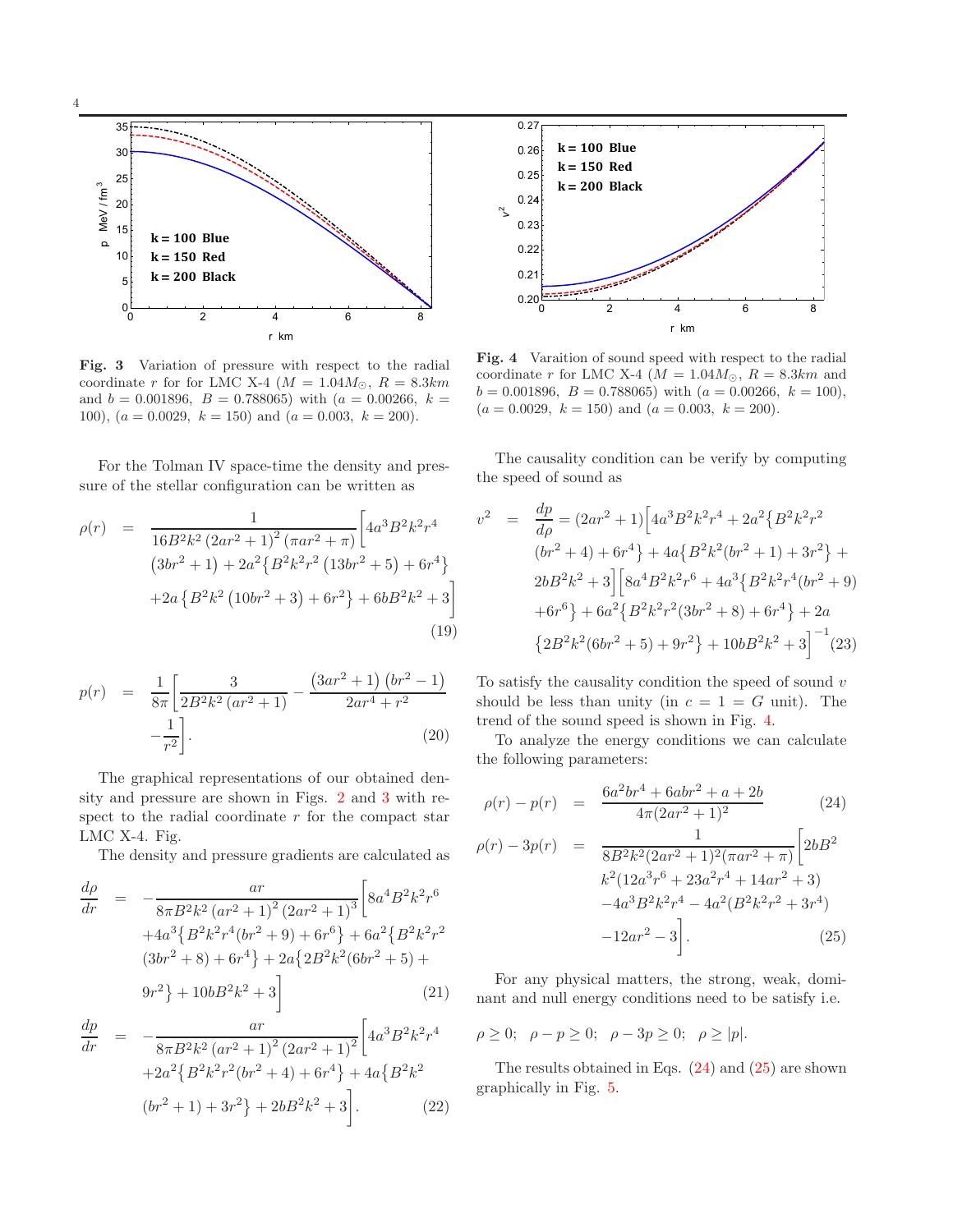

Fig. 3 Variation of pressure with respect to the radial coordinate r for for LMC X-4 ( $M = 1.04 M_{\odot}$ ,  $R = 8.3 km$ and  $b = 0.001896$ ,  $B = 0.788065$ ) with  $(a = 0.00266, k =$ 100),  $(a = 0.0029, k = 150)$  and  $(a = 0.003, k = 200)$ .

For the Tolman IV space-time the density and pressure of the stellar configuration can be written as

$$
\rho(r) = \frac{1}{16B^2k^2(2ar^2+1)^2(\pi ar^2+\pi)} \left[4a^3B^2k^2r^4\right] \n(3br^2+1) + 2a^2\left\{B^2k^2r^2(13br^2+5) + 6r^4\right\} \n+2a\left\{B^2k^2(10br^2+3) + 6r^2\right\} + 6bB^2k^2 + 3\right]
$$
\n(19)

$$
p(r) = \frac{1}{8\pi} \left[ \frac{3}{2B^2k^2 (ar^2 + 1)} - \frac{(3ar^2 + 1)(br^2 - 1)}{2ar^4 + r^2} - \frac{1}{r^2} \right].
$$
\n(20)

The graphical representations of our obtained density and pressure are shown in Figs. 2 and 3 with respect to the radial coordinate  $r$  for the compact star LMC X-4. Fig.

The density and pressure gradients are calculated as

$$
\frac{d\rho}{dr} = -\frac{ar}{8\pi B^2 k^2 (ar^2 + 1)^2 (2ar^2 + 1)^3} \left[ 8a^4 B^2 k^2 r^6 + 4a^3 \left\{ B^2 k^2 r^4 (br^2 + 9) + 6r^6 \right\} + 6a^2 \left\{ B^2 k^2 r^2 \left( 3br^2 + 8 \right) + 6r^4 \right\} + 2a \left\{ 2B^2 k^2 (6br^2 + 5) + 9r^2 \right\} + 10bB^2 k^2 + 3 \right] \tag{21}
$$

$$
\frac{dp}{dr} = -\frac{ar}{8\pi B^2 k^2 (ar^2 + 1)^2 (2ar^2 + 1)^2} \left[ 4a^3 B^2 k^2 r^4 + 2a^2 \{ B^2 k^2 r^2 (br^2 + 4) + 6r^4 \} + 4a \{ B^2 k^2 (br^2 + 1) + 3r^2 \} + 2b B^2 k^2 + 3 \right].
$$
\n(22)



Fig. 4 Varaition of sound speed with respect to the radial coordinate r for LMC X-4 ( $M = 1.04M_{\odot}$ ,  $R = 8.3km$  and  $b = 0.001896, B = 0.788065$  with  $(a = 0.00266, k = 100)$ ,  $(a = 0.0029, k = 150)$  and  $(a = 0.003, k = 200)$ .

The causality condition can be verify by computing the speed of sound as

$$
v^{2} = \frac{dp}{d\rho} = (2ar^{2} + 1)\left[4a^{3}B^{2}k^{2}r^{4} + 2a^{2}\left\{B^{2}k^{2}r^{2}\right\}\right] \n(br^{2} + 4) + 6r^{4}\right\} + 4a\left\{B^{2}k^{2}(br^{2} + 1) + 3r^{2}\right\} + \n2bB^{2}k^{2} + 3\left[\left\{8a^{4}B^{2}k^{2}r^{6} + 4a^{3}\left\{B^{2}k^{2}r^{4}(br^{2} + 9\right)\right\}\right] \n+ 6r^{6}\right\} + 6a^{2}\left\{B^{2}k^{2}r^{2}(3br^{2} + 8) + 6r^{4}\right\} + 2a \n\left\{2B^{2}k^{2}(6br^{2} + 5) + 9r^{2}\right\} + 10bB^{2}k^{2} + 3\right]^{-1}(23)
$$

To satisfy the causality condition the speed of sound  $v$ should be less than unity (in  $c = 1 = G$  unit). The trend of the sound speed is shown in Fig. 4.

To analyze the energy conditions we can calculate the following parameters:

$$
\rho(r) - p(r) = \frac{6a^2br^4 + 6abr^2 + a + 2b}{4\pi(2ar^2 + 1)^2} \tag{24}
$$

$$
\rho(r) - 3p(r) = \frac{1}{8B^2k^2(2ar^2 + 1)^2(\pi ar^2 + \pi)} \Big[ 2bB^2
$$
  
\n
$$
k^2(12a^3r^6 + 23a^2r^4 + 14ar^2 + 3)
$$
  
\n
$$
-4a^3B^2k^2r^4 - 4a^2(B^2k^2r^2 + 3r^4)
$$
  
\n
$$
-12ar^2 - 3 \Big].
$$
\n(25)

For any physical matters, the strong, weak, dominant and null energy conditions need to be satisfy i.e.

 $\rho \geq 0; \ \rho - p \geq 0; \ \rho - 3p \geq 0; \ \rho \geq |p|.$ 

The results obtained in Eqs. (24) and (25) are shown graphically in Fig. 5.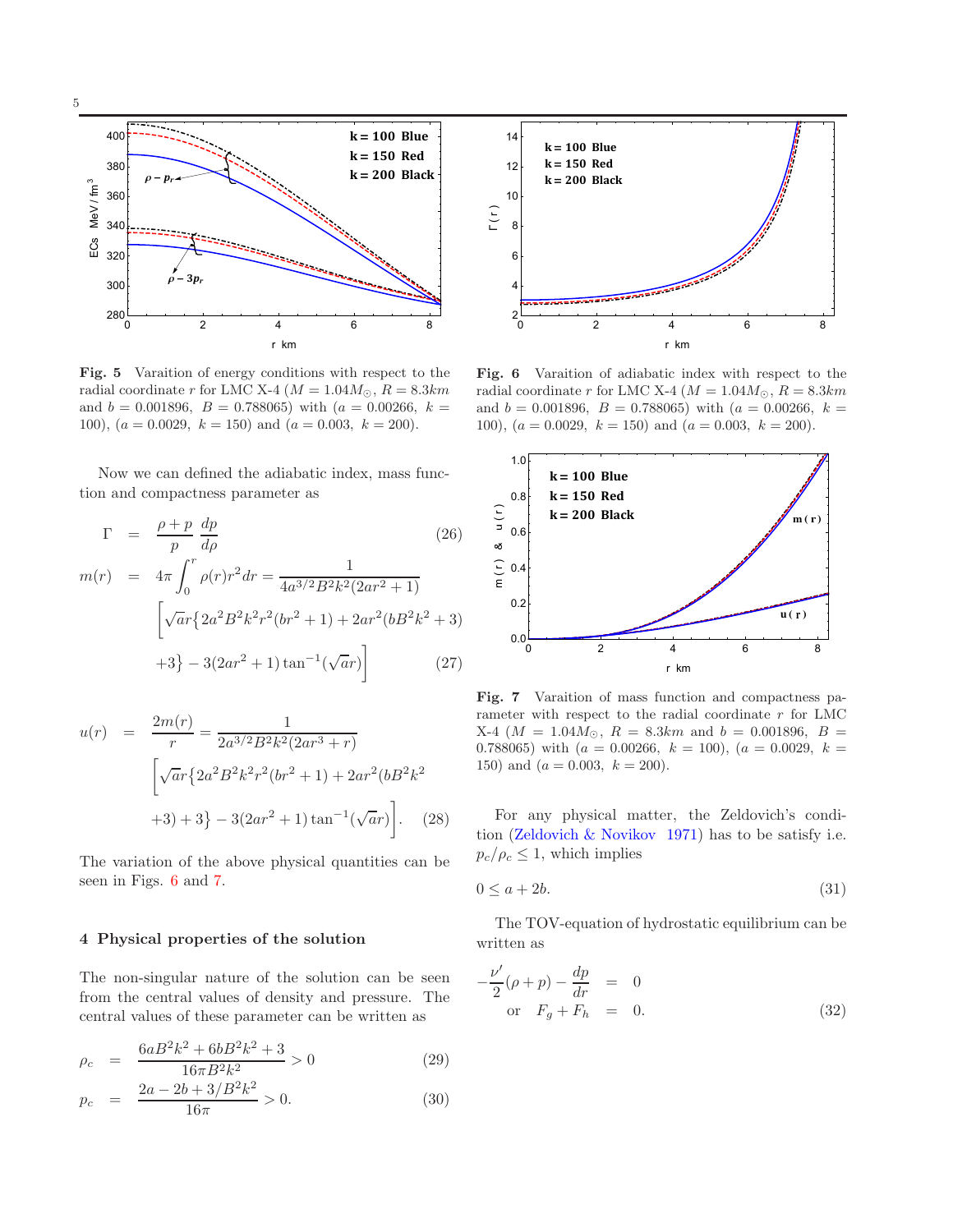

Fig. 5 Varaition of energy conditions with respect to the radial coordinate r for LMC X-4 ( $M = 1.04 M_{\odot}$ ,  $R = 8.3 km$ and  $b = 0.001896$ ,  $B = 0.788065$ ) with  $(a = 0.00266, k =$ 100),  $(a = 0.0029, k = 150)$  and  $(a = 0.003, k = 200)$ .

Now we can defined the adiabatic index, mass function and compactness parameter as

$$
\Gamma = \frac{\rho + p}{p} \frac{dp}{d\rho}
$$
\n(26)  
\n
$$
m(r) = 4\pi \int_0^r \rho(r)r^2 dr = \frac{1}{4a^{3/2}B^2k^2(2ar^2 + 1)}
$$
\n
$$
\left[\sqrt{ar}\left\{2a^2B^2k^2r^2(br^2 + 1\right\} + 2ar^2(bB^2k^2 + 3)\right.\n+3\} - 3(2ar^2 + 1)\tan^{-1}(\sqrt{ar})\right]
$$
\n(27)

$$
u(r) = \frac{2m(r)}{r} = \frac{1}{2a^{3/2}B^2k^2(2ar^3 + r)}
$$

$$
\left[\sqrt{ar}\left\{2a^2B^2k^2r^2(br^2 + 1\right\} + 2ar^2(bB^2k^2 + 3) + 3\right\} - 3(2ar^2 + 1)\tan^{-1}(\sqrt{ar})\right].
$$
 (28)

The variation of the above physical quantities can be seen in Figs. 6 and 7.

#### 4 Physical properties of the solution

The non-singular nature of the solution can be seen from the central values of density and pressure. The central values of these parameter can be written as

$$
\rho_c = \frac{6aB^2k^2 + 6bB^2k^2 + 3}{16\pi B^2k^2} > 0
$$
\n(29)

$$
p_c = \frac{2a - 2b + 3/B^2k^2}{16\pi} > 0.
$$
 (30)



Fig. 6 Varaition of adiabatic index with respect to the radial coordinate r for LMC X-4 ( $M = 1.04 M_{\odot}$ ,  $R = 8.3 km$ and  $b = 0.001896$ ,  $B = 0.788065$ ) with  $(a = 0.00266, k =$ 100),  $(a = 0.0029, k = 150)$  and  $(a = 0.003, k = 200)$ .



Fig. 7 Varaition of mass function and compactness parameter with respect to the radial coordinate  $r$  for LMC X-4 ( $M = 1.04 M_{\odot}$ ,  $R = 8.3 km$  and  $b = 0.001896$ ,  $B =$ 0.788065) with  $(a = 0.00266, k = 100)$ ,  $(a = 0.0029, k = 100)$ 150) and  $(a = 0.003, k = 200)$ .

For any physical matter, the Zeldovich's condition (Zeldovich & Novikov 1971) has to be satisfy i.e.  $p_c/\rho_c \leq 1$ , which implies

$$
0 \le a + 2b. \tag{31}
$$

The TOV-equation of hydrostatic equilibrium can be written as

$$
-\frac{\nu'}{2}(\rho+p)-\frac{dp}{dr} = 0
$$
  
or  $F_g + F_h = 0.$  (32)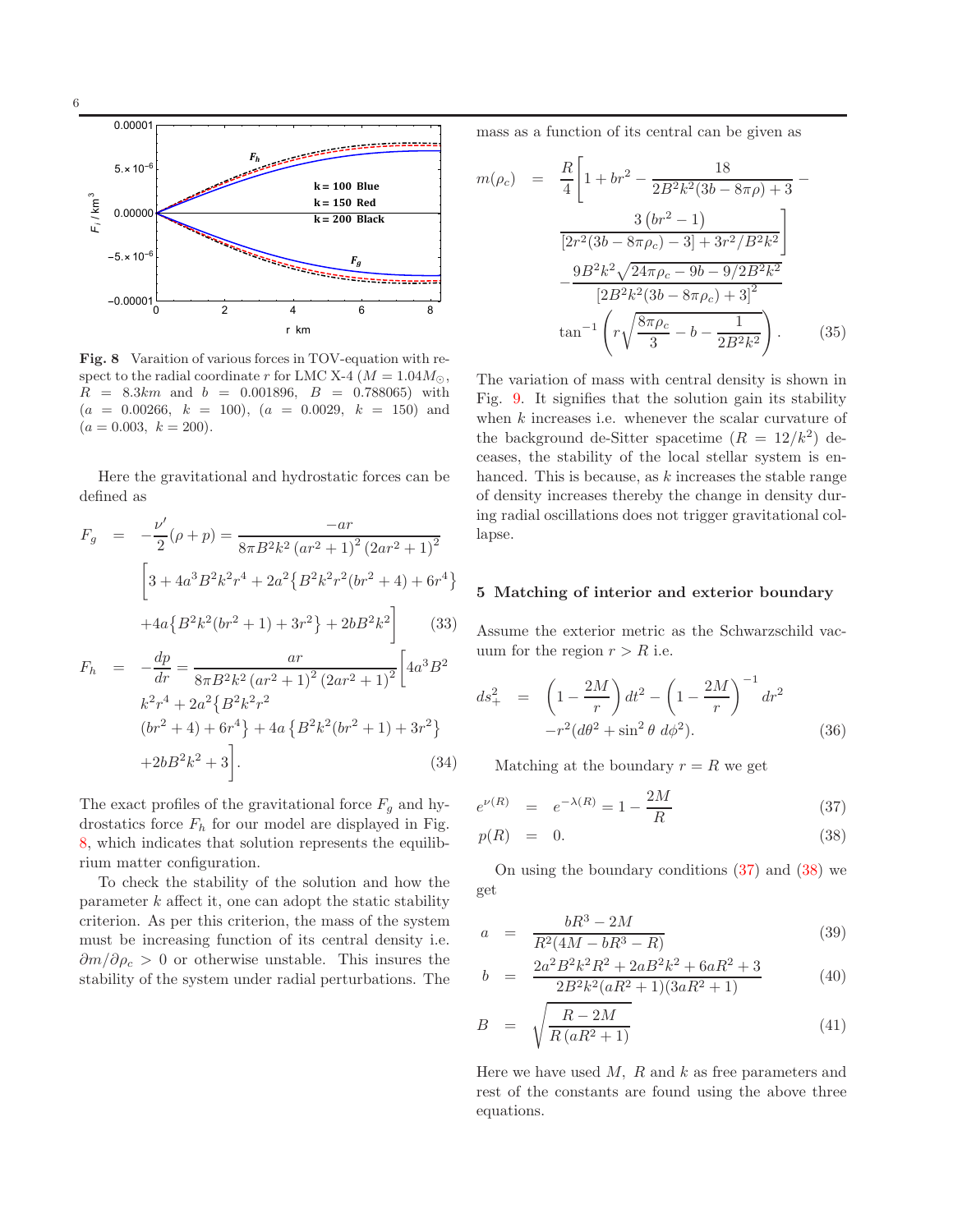

Fig. 8 Varaition of various forces in TOV-equation with respect to the radial coordinate r for LMC X-4 ( $M = 1.04 M_{\odot}$ ,  $R = 8.3km$  and  $b = 0.001896$ ,  $B = 0.788065$  with  $(a = 0.00266, k = 100), (a = 0.0029, k = 150)$  and  $(a = 0.003, k = 200).$ 

Here the gravitational and hydrostatic forces can be defined as

$$
F_g = -\frac{\nu'}{2}(\rho + p) = \frac{-ar}{8\pi B^2 k^2 (ar^2 + 1)^2 (2ar^2 + 1)^2}
$$

$$
\left[3 + 4a^3 B^2 k^2 r^4 + 2a^2 \{B^2 k^2 r^2 (br^2 + 4) + 6r^4\} + 4a \{B^2 k^2 (br^2 + 1) + 3r^2\} + 2bB^2 k^2\right]
$$
(33)

$$
F_h = -\frac{dp}{dr} = \frac{ar}{8\pi B^2 k^2 (ar^2 + 1)^2 (2ar^2 + 1)^2} \left[ 4a^3 B^2 \right.
$$
  
\n
$$
k^2 r^4 + 2a^2 \left\{ B^2 k^2 r^2 \right.
$$
  
\n
$$
(br^2 + 4) + 6r^4 \right\} + 4a \left\{ B^2 k^2 (br^2 + 1) + 3r^2 \right\}
$$
  
\n
$$
+ 2bB^2 k^2 + 3 \left[ . \right].
$$
  
\n(34)

The exact profiles of the gravitational force  $F<sub>g</sub>$  and hydrostatics force  $F_h$  for our model are displayed in Fig. 8, which indicates that solution represents the equilibrium matter configuration.

To check the stability of the solution and how the parameter  $k$  affect it, one can adopt the static stability criterion. As per this criterion, the mass of the system must be increasing function of its central density i.e.  $\partial m/\partial \rho_c > 0$  or otherwise unstable. This insures the stability of the system under radial perturbations. The mass as a function of its central can be given as

$$
m(\rho_c) = \frac{R}{4} \left[ 1 + br^2 - \frac{18}{2B^2k^2(3b - 8\pi\rho) + 3} - \frac{3\left(br^2 - 1\right)}{\left[2r^2(3b - 8\pi\rho_c) - 3\right] + 3r^2/B^2k^2} \right] - \frac{9B^2k^2\sqrt{24\pi\rho_c - 9b - 9/2B^2k^2}}{\left[2B^2k^2(3b - 8\pi\rho_c) + 3\right]^2} \tan^{-1} \left( r\sqrt{\frac{8\pi\rho_c}{3} - b - \frac{1}{2B^2k^2}} \right). \tag{35}
$$

The variation of mass with central density is shown in Fig. 9. It signifies that the solution gain its stability when  $k$  increases i.e. whenever the scalar curvature of the background de-Sitter spacetime  $(R = 12/k^2)$  deceases, the stability of the local stellar system is enhanced. This is because, as  $k$  increases the stable range of density increases thereby the change in density during radial oscillations does not trigger gravitational collapse.

#### 5 Matching of interior and exterior boundary

Assume the exterior metric as the Schwarzschild vacuum for the region  $r > R$  i.e.

$$
ds_{+}^{2} = \left(1 - \frac{2M}{r}\right)dt^{2} - \left(1 - \frac{2M}{r}\right)^{-1}dr^{2}
$$

$$
-r^{2}(d\theta^{2} + \sin^{2}\theta \ d\phi^{2}). \tag{36}
$$

Matching at the boundary  $r = R$  we get

$$
e^{\nu(R)} = e^{-\lambda(R)} = 1 - \frac{2M}{R}
$$
 (37)

$$
p(R) = 0. \tag{38}
$$

On using the boundary conditions (37) and (38) we get

$$
a = \frac{bR^3 - 2M}{R^2(4M - bR^3 - R)}
$$
(39)

$$
b = \frac{2a^2B^2k^2R^2 + 2aB^2k^2 + 6aR^2 + 3}{2B^2k^2(aR^2 + 1)(3aR^2 + 1)}
$$
(40)

$$
B = \sqrt{\frac{R - 2M}{R\left(aR^2 + 1\right)}}\tag{41}
$$

Here we have used  $M$ ,  $R$  and  $k$  as free parameters and rest of the constants are found using the above three equations.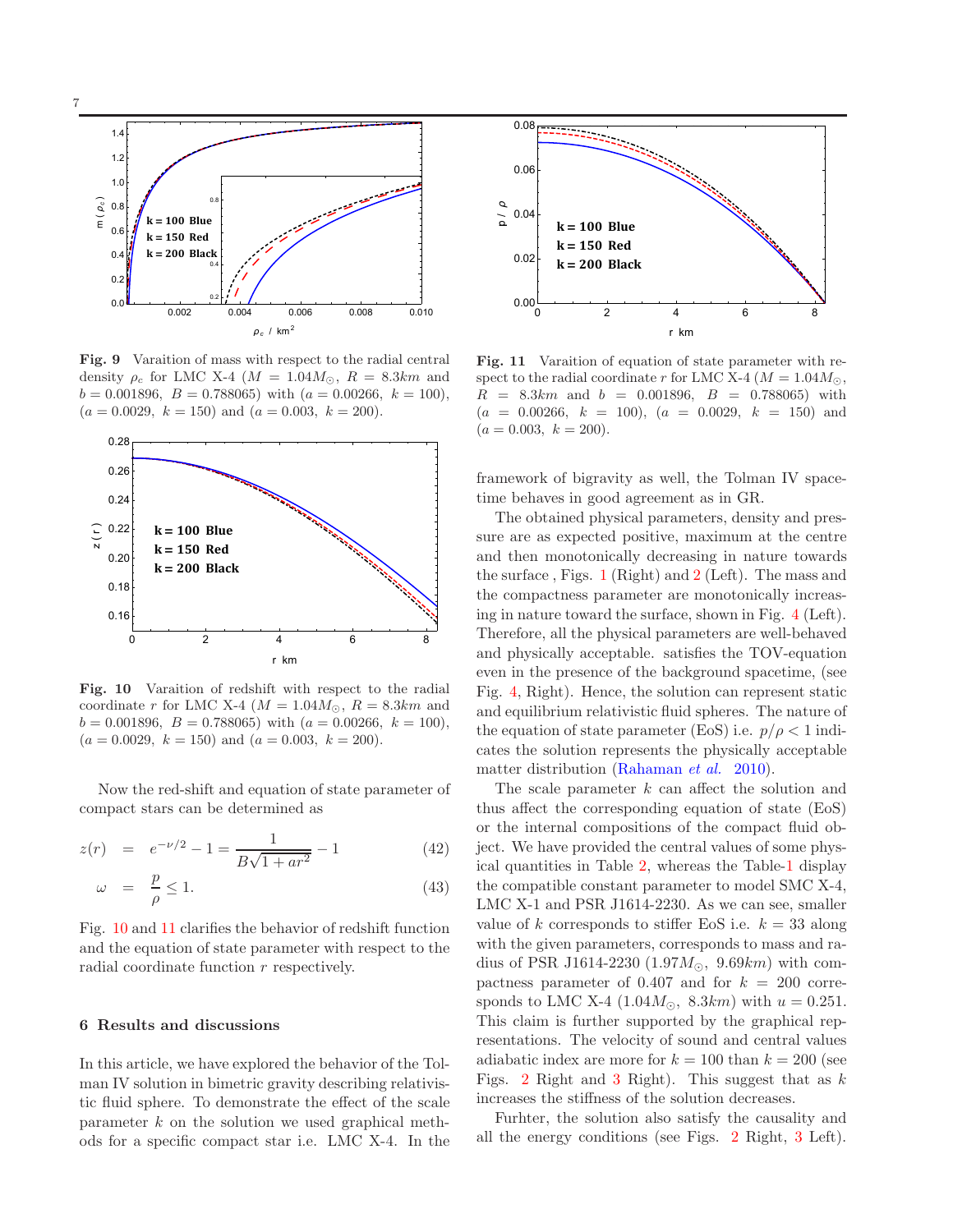

Fig. 9 Varaition of mass with respect to the radial central density  $\rho_c$  for LMC X-4 ( $M = 1.04 M_{\odot}$ ,  $R = 8.3 km$  and  $b = 0.001896, B = 0.788065$  with  $(a = 0.00266, k = 100)$ ,  $(a = 0.0029, k = 150)$  and  $(a = 0.003, k = 200)$ .



Fig. 10 Varaition of redshift with respect to the radial coordinate r for LMC X-4 ( $M = 1.04M_{\odot}$ ,  $R = 8.3km$  and  $b = 0.001896, B = 0.788065$  with  $(a = 0.00266, k = 100)$ ,  $(a = 0.0029, k = 150)$  and  $(a = 0.003, k = 200)$ .

Now the red-shift and equation of state parameter of compact stars can be determined as

$$
z(r) = e^{-\nu/2} - 1 = \frac{1}{B\sqrt{1 + ar^2}} - 1 \tag{42}
$$

$$
\omega = \frac{p}{\rho} \le 1. \tag{43}
$$

Fig. 10 and 11 clarifies the behavior of redshift function and the equation of state parameter with respect to the radial coordinate function r respectively.

## 6 Results and discussions

In this article, we have explored the behavior of the Tolman IV solution in bimetric gravity describing relativistic fluid sphere. To demonstrate the effect of the scale parameter  $k$  on the solution we used graphical methods for a specific compact star i.e. LMC X-4. In the



Fig. 11 Varaition of equation of state parameter with respect to the radial coordinate r for LMC X-4 ( $M = 1.04 M_{\odot}$ ,  $R = 8.3km$  and  $b = 0.001896$ ,  $B = 0.788065$  with  $(a = 0.00266, k = 100), (a = 0.0029, k = 150)$  and  $(a = 0.003, k = 200).$ 

framework of bigravity as well, the Tolman IV spacetime behaves in good agreement as in GR.

The obtained physical parameters, density and pressure are as expected positive, maximum at the centre and then monotonically decreasing in nature towards the surface, Figs.  $1$  (Right) and  $2$  (Left). The mass and the compactness parameter are monotonically increasing in nature toward the surface, shown in Fig. 4 (Left). Therefore, all the physical parameters are well-behaved and physically acceptable. satisfies the TOV-equation even in the presence of the background spacetime, (see Fig. 4, Right). Hence, the solution can represent static and equilibrium relativistic fluid spheres. The nature of the equation of state parameter (EoS) i.e.  $p/\rho < 1$  indicates the solution represents the physically acceptable matter distribution (Rahaman et al. 2010).

The scale parameter  $k$  can affect the solution and thus affect the corresponding equation of state (EoS) or the internal compositions of the compact fluid object. We have provided the central values of some physical quantities in Table 2, whereas the Table-1 display the compatible constant parameter to model SMC X-4, LMC X-1 and PSR J1614-2230. As we can see, smaller value of k corresponds to stiffer EoS i.e.  $k = 33$  along with the given parameters, corresponds to mass and radius of PSR J1614-2230 (1.97 $M_{\odot}$ , 9.69 $km$ ) with compactness parameter of  $0.407$  and for  $k = 200$  corresponds to LMC X-4 (1.04 $M_{\odot}$ , 8.3km) with  $u = 0.251$ . This claim is further supported by the graphical representations. The velocity of sound and central values adiabatic index are more for  $k = 100$  than  $k = 200$  (see Figs. 2 Right and 3 Right). This suggest that as  $k$ increases the stiffness of the solution decreases.

Furhter, the solution also satisfy the causality and all the energy conditions (see Figs. 2 Right, 3 Left).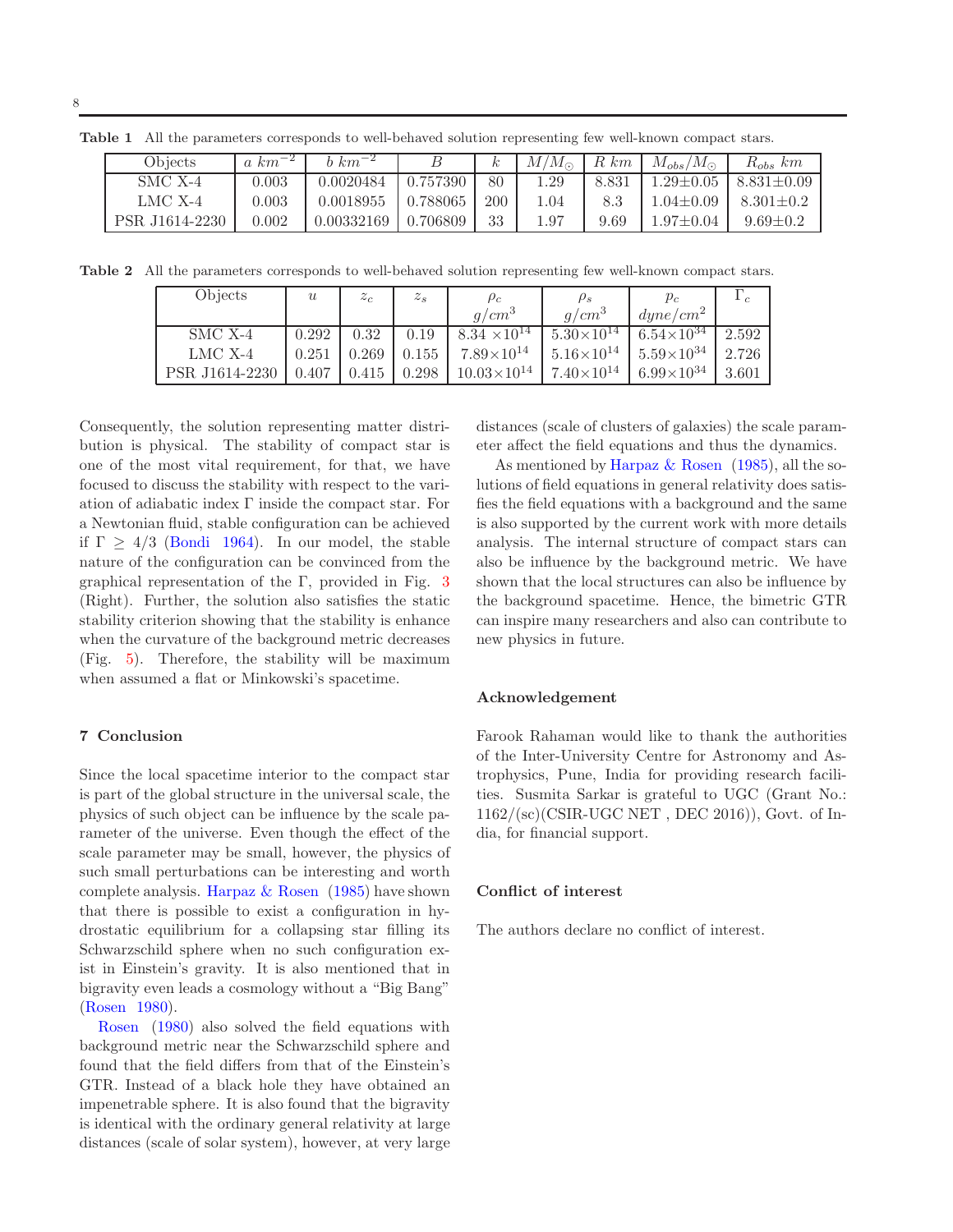| Objects        | $a \ km^{-2}$ | $b \ km^{-2}$ |          |     | $M/M_{\odot}$ | $R \ km$ | $M_{obs}/$<br>$/M_{\odot}$ | $R_{obs}$ km     |
|----------------|---------------|---------------|----------|-----|---------------|----------|----------------------------|------------------|
| $SMC X-4$      | 0.003         | 0.0020484     | 0.757390 | 80  | 1.29          | 8.831    | $1.29 {\pm} 0.05$          | $8.831 \pm 0.09$ |
| LMC X-4        | 0.003         | 0.0018955     | 0.788065 | 200 | 1.04          | 8.3      | $1.04 \pm 0.09$            | $8.301 \pm 0.2$  |
| PSR J1614-2230 | 0.002         | 0.00332169    | 0.706809 | 33  | 1.97          | 9.69     | $1.97 \pm 0.04$            | $9.69 \pm 0.2$   |

Table 1 All the parameters corresponds to well-behaved solution representing few well-known compact stars.

Table 2 All the parameters corresponds to well-behaved solution representing few well-known compact stars.

| Objects        | $\boldsymbol{u}$ | $z_c$ | $z_{s}$ | $\rho_c$              | $\rho_s$              | $p_c$                                           | $\epsilon$ |
|----------------|------------------|-------|---------|-----------------------|-----------------------|-------------------------------------------------|------------|
|                |                  |       |         | $q/cm^3$              | $q/cm^3$              | $\langle d$ <i>une</i> / $\langle cm^2 \rangle$ |            |
| SMC X-4        | 0.292            | 0.32  | 0.19    | $8.34 \times 10^{14}$ | $5.30\times10^{14}$   | $6.54\times\overline{10^{34}}$                  | 2.592      |
| $LMC X-4$      | 0.251            | 0.269 | 0.155   | $7.89\times10^{14}$   | $1.5.16\times10^{14}$ | $5.59\times10^{34}$                             | 2.726      |
| PSR J1614-2230 | 0.407            | 0.415 | 0.298   | $10.03\times10^{14}$  | $7.40\times10^{14}$   | $6.99\times10^{34}$                             | 3.601      |

Consequently, the solution representing matter distribution is physical. The stability of compact star is one of the most vital requirement, for that, we have focused to discuss the stability with respect to the variation of adiabatic index Γ inside the compact star. For a Newtonian fluid, stable configuration can be achieved if  $\Gamma \geq 4/3$  (Bondi 1964). In our model, the stable nature of the configuration can be convinced from the graphical representation of the Γ, provided in Fig. 3 (Right). Further, the solution also satisfies the static stability criterion showing that the stability is enhance when the curvature of the background metric decreases (Fig. 5). Therefore, the stability will be maximum when assumed a flat or Minkowski's spacetime.

## 7 Conclusion

Since the local spacetime interior to the compact star is part of the global structure in the universal scale, the physics of such object can be influence by the scale parameter of the universe. Even though the effect of the scale parameter may be small, however, the physics of such small perturbations can be interesting and worth complete analysis. Harpaz  $&$  Rosen (1985) have shown that there is possible to exist a configuration in hydrostatic equilibrium for a collapsing star filling its Schwarzschild sphere when no such configuration exist in Einstein's gravity. It is also mentioned that in bigravity even leads a cosmology without a "Big Bang" (Rosen 1980).

Rosen (1980) also solved the field equations with background metric near the Schwarzschild sphere and found that the field differs from that of the Einstein's GTR. Instead of a black hole they have obtained an impenetrable sphere. It is also found that the bigravity is identical with the ordinary general relativity at large distances (scale of solar system), however, at very large distances (scale of clusters of galaxies) the scale parameter affect the field equations and thus the dynamics.

As mentioned by Harpaz  $\&$  Rosen (1985), all the solutions of field equations in general relativity does satisfies the field equations with a background and the same is also supported by the current work with more details analysis. The internal structure of compact stars can also be influence by the background metric. We have shown that the local structures can also be influence by the background spacetime. Hence, the bimetric GTR can inspire many researchers and also can contribute to new physics in future.

#### Acknowledgement

Farook Rahaman would like to thank the authorities of the Inter-University Centre for Astronomy and Astrophysics, Pune, India for providing research facilities. Susmita Sarkar is grateful to UGC (Grant No.: 1162/(sc)(CSIR-UGC NET , DEC 2016)), Govt. of India, for financial support.

## Conflict of interest

The authors declare no conflict of interest.